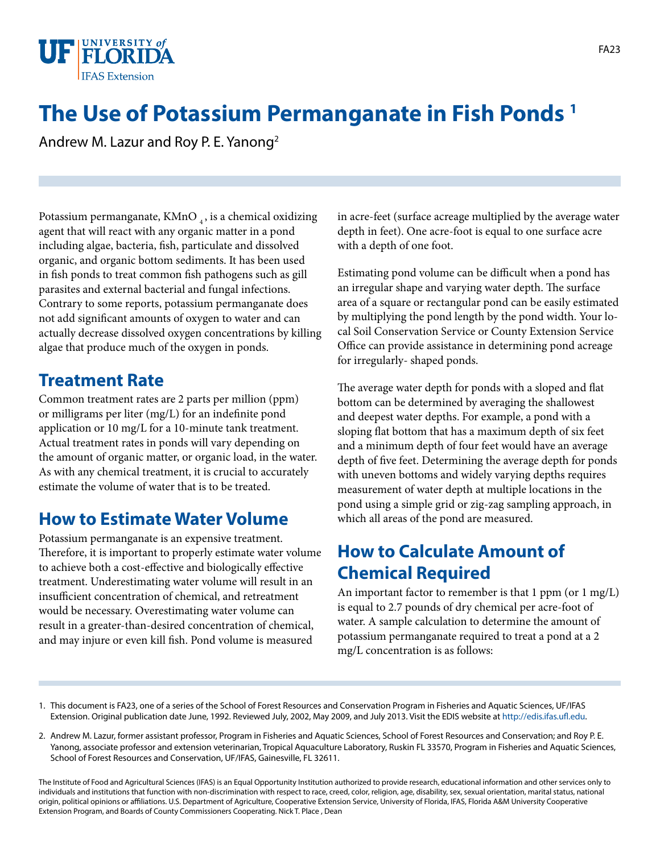

# **The Use of Potassium Permanganate in Fish Ponds 1**

Andrew M. Lazur and Roy P. E. Yanong2

Potassium permanganate, KMnO $_4$ , is a chemical oxidizing agent that will react with any organic matter in a pond including algae, bacteria, fish, particulate and dissolved organic, and organic bottom sediments. It has been used in fish ponds to treat common fish pathogens such as gill parasites and external bacterial and fungal infections. Contrary to some reports, potassium permanganate does not add significant amounts of oxygen to water and can actually decrease dissolved oxygen concentrations by killing algae that produce much of the oxygen in ponds.

### **Treatment Rate**

Common treatment rates are 2 parts per million (ppm) or milligrams per liter (mg/L) for an indefinite pond application or 10 mg/L for a 10-minute tank treatment. Actual treatment rates in ponds will vary depending on the amount of organic matter, or organic load, in the water. As with any chemical treatment, it is crucial to accurately estimate the volume of water that is to be treated.

### **How to Estimate Water Volume**

Potassium permanganate is an expensive treatment. Therefore, it is important to properly estimate water volume to achieve both a cost-effective and biologically effective treatment. Underestimating water volume will result in an insufficient concentration of chemical, and retreatment would be necessary. Overestimating water volume can result in a greater-than-desired concentration of chemical, and may injure or even kill fish. Pond volume is measured

in acre-feet (surface acreage multiplied by the average water depth in feet). One acre-foot is equal to one surface acre with a depth of one foot.

Estimating pond volume can be difficult when a pond has an irregular shape and varying water depth. The surface area of a square or rectangular pond can be easily estimated by multiplying the pond length by the pond width. Your local Soil Conservation Service or County Extension Service Office can provide assistance in determining pond acreage for irregularly- shaped ponds.

The average water depth for ponds with a sloped and flat bottom can be determined by averaging the shallowest and deepest water depths. For example, a pond with a sloping flat bottom that has a maximum depth of six feet and a minimum depth of four feet would have an average depth of five feet. Determining the average depth for ponds with uneven bottoms and widely varying depths requires measurement of water depth at multiple locations in the pond using a simple grid or zig-zag sampling approach, in which all areas of the pond are measured.

### **How to Calculate Amount of Chemical Required**

An important factor to remember is that 1 ppm (or 1 mg/L) is equal to 2.7 pounds of dry chemical per acre-foot of water. A sample calculation to determine the amount of potassium permanganate required to treat a pond at a 2 mg/L concentration is as follows:

- 1. This document is FA23, one of a series of the School of Forest Resources and Conservation Program in Fisheries and Aquatic Sciences, UF/IFAS Extension. Original publication date June, 1992. Reviewed July, 2002, May 2009, and July 2013. Visit the EDIS website at [http://edis.ifas.ufl.edu.](http://edis.ifas.ufl.edu)
- 2. Andrew M. Lazur, former assistant professor, Program in Fisheries and Aquatic Sciences, School of Forest Resources and Conservation; and Roy P. E. Yanong, associate professor and extension veterinarian, Tropical Aquaculture Laboratory, Ruskin FL 33570, Program in Fisheries and Aquatic Sciences, School of Forest Resources and Conservation, UF/IFAS, Gainesville, FL 32611.

The Institute of Food and Agricultural Sciences (IFAS) is an Equal Opportunity Institution authorized to provide research, educational information and other services only to individuals and institutions that function with non-discrimination with respect to race, creed, color, religion, age, disability, sex, sexual orientation, marital status, national origin, political opinions or affiliations. U.S. Department of Agriculture, Cooperative Extension Service, University of Florida, IFAS, Florida A&M University Cooperative Extension Program, and Boards of County Commissioners Cooperating. Nick T. Place , Dean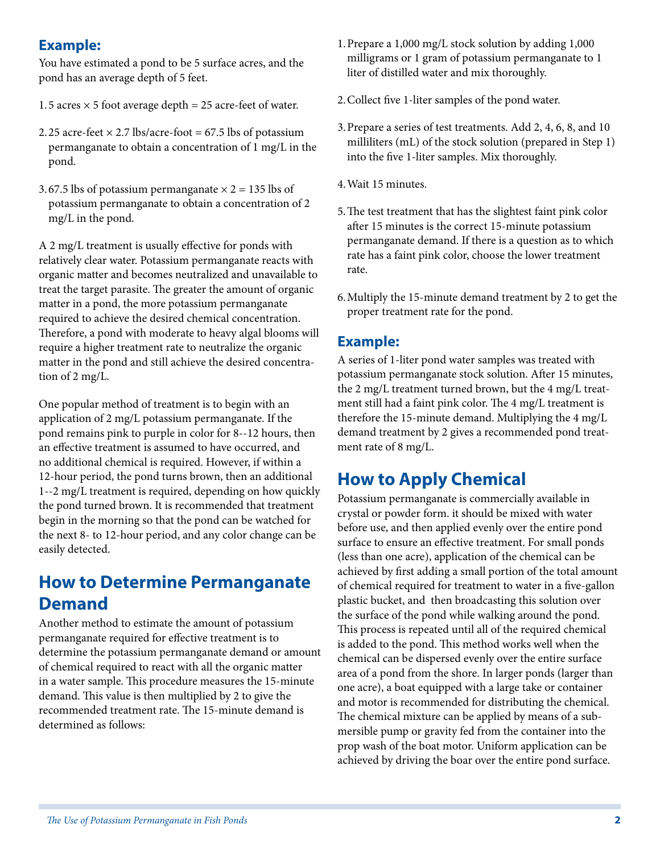#### **Example:**

You have estimated a pond to be 5 surface acres, and the pond has an average depth of 5 feet.

- 1.5 acres  $\times$  5 foot average depth = 25 acre-feet of water.
- 2.25 acre-feet  $\times$  2.7 lbs/acre-foot = 67.5 lbs of potassium permanganate to obtain a concentration of 1 mg/L in the pond.
- 3.67.5 lbs of potassium permanganate  $\times$  2 = 135 lbs of potassium permanganate to obtain a concentration of 2 mg/L in the pond.

A 2 mg/L treatment is usually effective for ponds with relatively clear water. Potassium permanganate reacts with organic matter and becomes neutralized and unavailable to treat the target parasite. The greater the amount of organic matter in a pond, the more potassium permanganate required to achieve the desired chemical concentration. Therefore, a pond with moderate to heavy algal blooms will require a higher treatment rate to neutralize the organic matter in the pond and still achieve the desired concentration of 2 mg/L.

One popular method of treatment is to begin with an application of 2 mg/L potassium permanganate. If the pond remains pink to purple in color for 8--12 hours, then an effective treatment is assumed to have occurred, and no additional chemical is required. However, if within a 12-hour period, the pond turns brown, then an additional 1--2 mg/L treatment is required, depending on how quickly the pond turned brown. It is recommended that treatment begin in the morning so that the pond can be watched for the next 8- to 12-hour period, and any color change can be easily detected.

### **How to Determine Permanganate Demand**

Another method to estimate the amount of potassium permanganate required for effective treatment is to determine the potassium permanganate demand or amount of chemical required to react with all the organic matter in a water sample. This procedure measures the 15-minute demand. This value is then multiplied by 2 to give the recommended treatment rate. The 15-minute demand is determined as follows:

- 1.Prepare a 1,000 mg/L stock solution by adding 1,000 milligrams or 1 gram of potassium permanganate to 1 liter of distilled water and mix thoroughly.
- 2.Collect five 1-liter samples of the pond water.
- 3.Prepare a series of test treatments. Add 2, 4, 6, 8, and 10 milliliters (mL) of the stock solution (prepared in Step 1) into the five 1-liter samples. Mix thoroughly.
- 4.Wait 15 minutes.
- 5.The test treatment that has the slightest faint pink color after 15 minutes is the correct 15-minute potassium permanganate demand. If there is a question as to which rate has a faint pink color, choose the lower treatment rate.
- 6.Multiply the 15-minute demand treatment by 2 to get the proper treatment rate for the pond.

#### **Example:**

A series of 1-liter pond water samples was treated with potassium permanganate stock solution. After 15 minutes, the 2 mg/L treatment turned brown, but the 4 mg/L treatment still had a faint pink color. The 4 mg/L treatment is therefore the 15-minute demand. Multiplying the 4 mg/L demand treatment by 2 gives a recommended pond treatment rate of 8 mg/L.

# **How to Apply Chemical**

Potassium permanganate is commercially available in crystal or powder form. it should be mixed with water before use, and then applied evenly over the entire pond surface to ensure an effective treatment. For small ponds (less than one acre), application of the chemical can be achieved by first adding a small portion of the total amount of chemical required for treatment to water in a five-gallon plastic bucket, and then broadcasting this solution over the surface of the pond while walking around the pond. This process is repeated until all of the required chemical is added to the pond. This method works well when the chemical can be dispersed evenly over the entire surface area of a pond from the shore. In larger ponds (larger than one acre), a boat equipped with a large take or container and motor is recommended for distributing the chemical. The chemical mixture can be applied by means of a submersible pump or gravity fed from the container into the prop wash of the boat motor. Uniform application can be achieved by driving the boar over the entire pond surface.